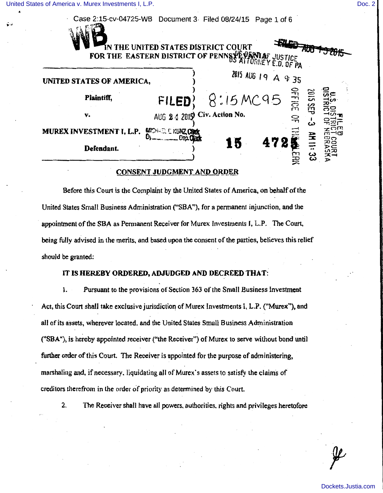[United States of America v. Murex Investments I, L.P.](https://dockets.justia.com/docket/nebraska/nedce/8:2015mc00095/70431/) [Doc. 2](https://docs.justia.com/cases/federal/district-courts/nebraska/nedce/8:2015mc00095/70431/2/) **Doc. 2** Doc. 2

| Case 2:15-cv-04725-WB Document 3 Filed 08/24/15 |                                                                                                                 |    | Page 1 of 6                  |                          |
|-------------------------------------------------|-----------------------------------------------------------------------------------------------------------------|----|------------------------------|--------------------------|
|                                                 | IN THE UNITED STATES DISTRICT COURT                                                                             |    |                              |                          |
|                                                 | IN THE UNITED STATES DISTRICT OF PENNSYE VANIAF JUSTICE FOR THE EASTERN DISTRICT OF PENNSYE ATTORNEY E.D. OF PA |    |                              |                          |
| UNITED STATES OF AMERICA,                       |                                                                                                                 |    | 7815 AUG 19 A 9:35           |                          |
| Plaintiff,                                      | FILED                                                                                                           |    | $8:15 M C 95 = \frac{6}{57}$ |                          |
| v.                                              | AUG 2 4 2015) Civ. Action No.                                                                                   |    | 윾                            | ພ                        |
| MUREX INVESTMENT I, L.P.                        | <b>MICHAEL E KUNZ, Clink</b><br>Den Clark                                                                       |    |                              |                          |
| Defendant.                                      |                                                                                                                 | 15 | 472                          | AH 11:33<br><b>COURT</b> |

#### **CONSENT JUDGMENT AND ORDER**

Before this Court is the Complaint by the United States of America. on behalf of the United States Small Business Administration ("SBA"), for a pennanent injunction, and the appointment of the SBA as Permanent Receiver for Murex Investments f, L.P. The Court. being fully advised in the merits. and based upon the consent of the parties, believes this relief should be granted:

#### IT IS HEREBY ORDERED, ADJUDGED AND DECREED THAT:

1. Pursuant to the provisions of Section 363 of the Small Business Investment Act, this Court shall take exclusive jurisdiction of Murex Investments I, L.P. ("Murex"), and all of its assets, wherever located. and the United States Small Business Administration ("SBA"), is hereby appointed receiver ("the Receiver") of Murex to serve without bond until further order of this Court. The Receiver is appointed for the purpose of administering, marshaling and, if necessary. liquidating all of Murex's assets to satisfy the claims of creditors therefrom in the order of priority as determined by this Court.

2. The Receiver shall have all powers. authorities. rights and privileges heretofore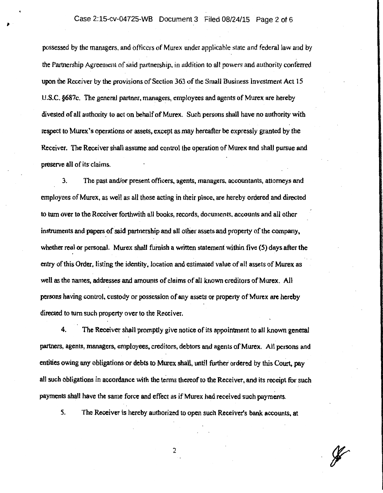possessed by the managers. and officers of Murex under applicable state and federal Jaw and by the Partnership Agreement of said partnership, in addition to all powers and authority conferred upon the Receiver by the provisions of Section 363 of the Small Business Investment Act 15 U.S.C. §687c. The general partner, managers, employees and agents of Murex are hereby divested of all authority to act on behalf of Murex. Such persons shall have no authority with respect to Murex's operations or assets, except as may hereafter be expressly granted by the Receiver. The Receiver shall assume and control the operation of Murex and shall pursue and preserve all of its claims.

3. The past and/or present officers, agents, managers., accountants, attorneys and employees of Murex, as well as all those acting in their place, are hereby ordered and directed to turn over to the Receiver forthwith all books, records. documents. accounts and all other instruments and papers of said partnership and all other assets and property of the company, whether real or personal. Murex shall furnish a written statement within five (5) days after the entry of this Order, listing the identity, location and estimated value of all assets of Murex as well as the names, addresses and amounts of claims of all known creditors of Murex. All persons having control, custody or possession of any assets or property of Murex are hereby directed to tum such property over to the Receiver.

4. The Receiver shall promptly give notice of its appointment to all known general partners, agents, managers, employees, creditors, debtors and agents of Murex. All persons and entities owing any obligations or debts to Murex shall, until further ordered by this Court, pay all such obligations in accordance with the terms thereof to the Receiver, and its receipt for such payments shall have the same force and effect as if Murex had received such payments.

*5.* The Receiver is hereby authorized to open such Receiver's bank accounts, at

2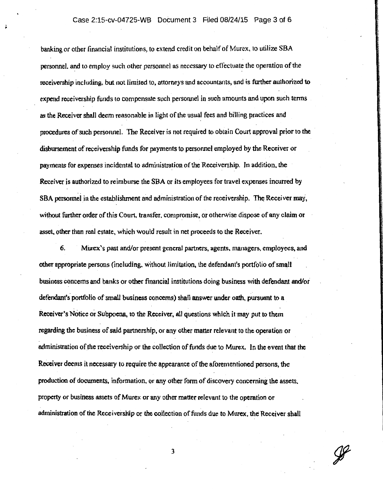## Case 2:15-cv-04725-WB Document 3 Filed 08/24/15 Page 3 of 6

banking or other financial institutions, to extend credit on behalf of Murex, to utilize SBA personnel. and to employ such other personnel as necessary to effectuate the operation of the . . receivership including. but not limited to, attorneys and accountants; and is further authorized to expend receivership funds to compensate such personnel in such amounts and upon such terms as the Receiver shall deem reasonable in light of the usual fees and billing practices and procedures of such personnel. The Receiver is not required to obtain Court approval prior to the disbursement of receivership funds for payments to personnel employed by the Receiver or payments for expenses incidental to administration of the Receivership. Jn addition, the Receiver is authorized to reimburse the SBA or its employees for travel expenses incurred by SBA personnel in the establishment and administration of the receivership. The Receiver may, without further order of this Court, transfer, compromise, or othenvise dispose of any claim or asset, other than real estate, which would result in net proceeds to the Receiver.

6. Mlirex 's past and/or present general partners, agents, managers, employees, and other appropriate persons (including, without limitation, the defendant's portfolio of small business concerns and banks or other financial institutions doing business with defendant and/or defendant's. portfolio of small business concerns) shall answer under oath, pursuant to a Receiver's Notice or Subpoena, to the Receiver, all questions which it may put to them regarding the business of said partnership, or any other matter relevant to the operation or administration of the receivership or the collection of funds due to Murex. In the event that the Receiver deems it necessary to require the appearance of the aforementioned persons, the production of documents, information. or any other form of discovery concerning the assets. property or business assets of Murex or any other matter relevant to the operation or administration of the Receivership or the collection of funds due to Murex, the Receiver shall

3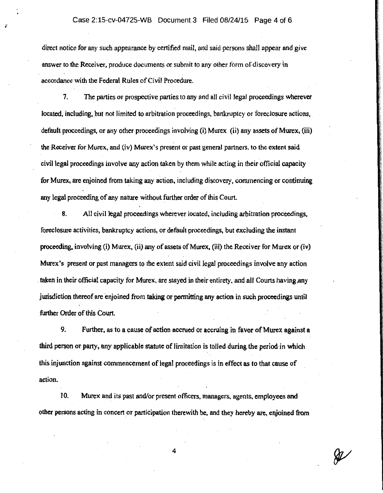#### Case 2:15-cv-04725-WB Document 3 Filed 08/24/15 Page 4 of 6

direct notice for any such appearance by certified mail, and said persons shall appear and give answer to the Receiver, produce documents or submit to any other fonn of discovery in accordance with the Federal Rules of Civil Procedure.

7. The parties or prospective parties to any and all civil legal proceedings wherever located, including, but not limited to arbitration proceedings, bankruptcy or foreclosure actions, default proceedings, or any other proceedings involving (i) Murex (ii) any assets of Murex, (iii) the Receiver for Murex, and (iv) Murex's present or past general partners, to the extent said civil legal proceedings involve any action taken by them while acting in their official capacity for Murex, are eajoined from taking any action, including discovery, commencing or continuing any legal proceeding of any nature without further order of this Court.

8. All civil legal proceedings wherever located, including arbitration proceedings, foreclosure activities, bankruptcy actions, or default proceedings, but excluding the instant proceeding, involving (i) Murex, (ii) any of assets of Murex, (iii) the Receiver for Murex or (iv) Murex's present or past managers to the extent said civil legal proceedings involve any action taken in their official capacity for Murex, are stayed in their entirety, and all Courts having any jurisdiction thereof are enjoined from taking or permitting any action in such proceedings until further Order of this Court.

9. Further, as to a cause of action accrued or accruing in favor of Murex against a third person or party, any applicable statute of limitation is tolled during the period· in which this injunction against commencement of legal proceedings is in effect as to that cause of action.

10. Murex and its past and/or present officers. managers, agents, employees and other persons acting in concert or participation therewith be, and they hereby are, enjoined from

ℛ

4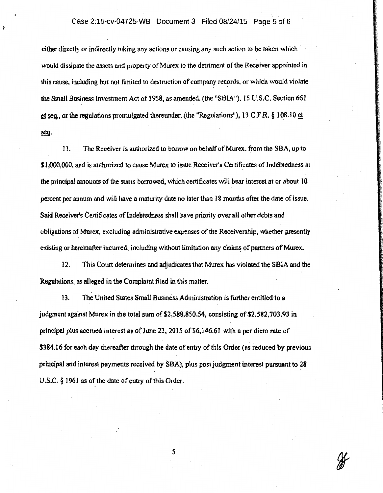### Case 2:15-cv-04725-WB Document 3 Filed 08/24/15 Page 5 of 6

either directly or indirectly taking any actions or causing any such action to be taken which would dissipate the assets and property of Murex to the detriment of the Receiver appointed in this cause, including but not limited to destruction of company records. or which would violate the Small Business Investment Act of 1958, as amended, (the "SBIA"), 15 U.S.C. Section 661 or the regulations promulgated thereunder, (the "Regulations"), 13 C.F.R. § 108.10 et seq.

11. The Receiver is authorized to borrow on behalf of Murex. from the SBA, up to \$1,000,000, and is authorized to cause Murex to issue Receiver's Certificates of Indebtedness in the principal amounts of the sums borrowed, which certificates will bear interest at or about 10 percent per annum and will have a maturity date no later than 18 months after the date of issue. Said Receiver's Certificates of Indebtedness shall have priority over all other debts and obligations of Murex, excluding administrative expenses of the Receivership, whether presently existing or hereinafter incurred, including without limitation any claims of partners of Murex.

12. This Court determines and adjudicates that Murex has violated the SBIA and the Regulations, as alleged in the Complaint filed in this matter.

13. The United States Small Business Administration is further entitled to a judgment against Murex in the total sum of \$2,588,850.54, consisting of \$2,582,703.93 in principal plus accrued interest as of June 23, 2015 of \$6,146.61 with a per diem rate of \$384.16 for each day thereafter through the date of entry of this Order (as reduced by previous principal and interest payments received by SBA), plus post judgment interest pursuant to 28 U.S.C. § 1961 as of the date of entry of this Order.

5

₩